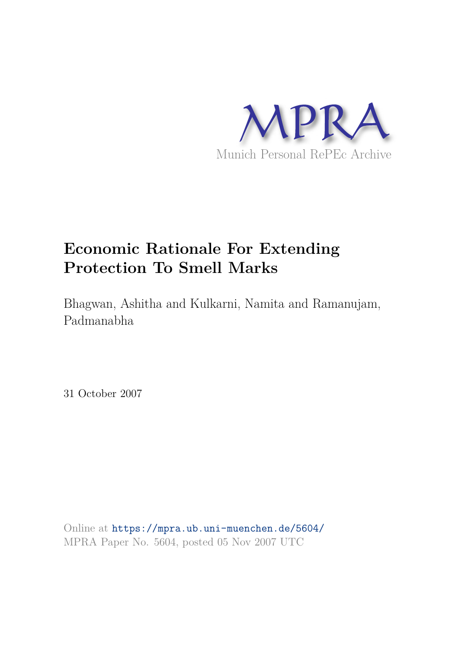

# **Economic Rationale For Extending Protection To Smell Marks**

Bhagwan, Ashitha and Kulkarni, Namita and Ramanujam, Padmanabha

31 October 2007

Online at https://mpra.ub.uni-muenchen.de/5604/ MPRA Paper No. 5604, posted 05 Nov 2007 UTC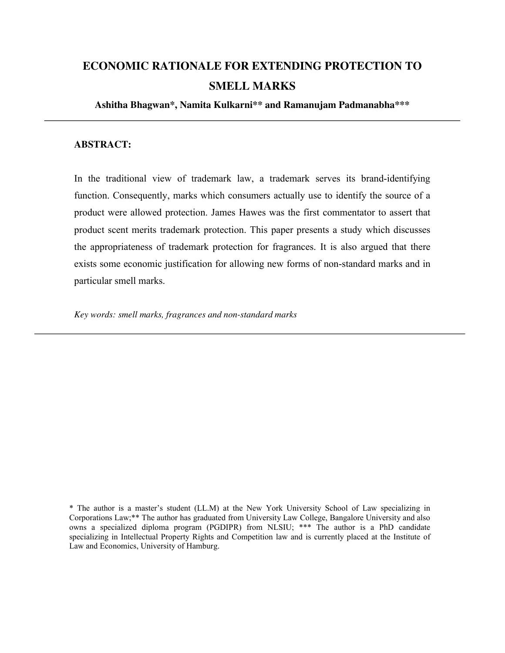# **ECONOMIC RATIONALE FOR EXTENDING PROTECTION TO SMELL MARKS**

**Ashitha Bhagwan\*, Namita Kulkarni\*\* and Ramanujam Padmanabha\*\*\***

## **ABSTRACT:**

In the traditional view of trademark law, a trademark serves its brand-identifying function. Consequently, marks which consumers actually use to identify the source of a product were allowed protection. James Hawes was the first commentator to assert that product scent merits trademark protection. This paper presents a study which discusses the appropriateness of trademark protection for fragrances. It is also argued that there exists some economic justification for allowing new forms of non-standard marks and in particular smell marks.

*Key words: smell marks, fragrances and non-standard marks* 

\* The author is a master's student (LL.M) at the New York University School of Law specializing in Corporations Law;\*\* The author has graduated from University Law College, Bangalore University and also owns a specialized diploma program (PGDIPR) from NLSIU; \*\*\* The author is a PhD candidate specializing in Intellectual Property Rights and Competition law and is currently placed at the Institute of Law and Economics, University of Hamburg.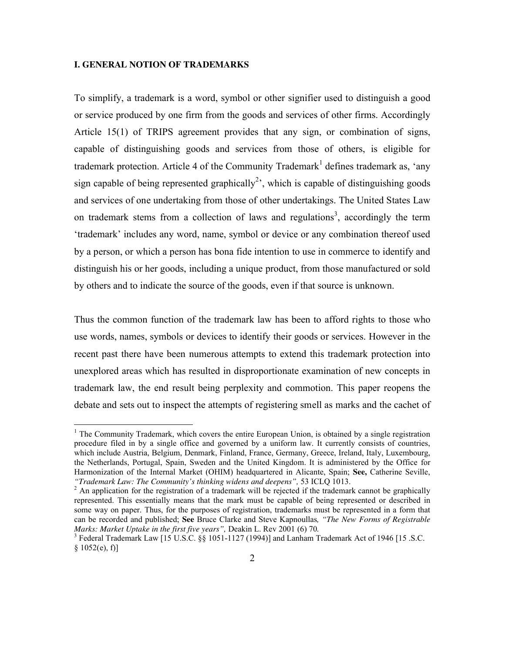#### **I. GENERAL NOTION OF TRADEMARKS**

-

To simplify, a trademark is a word, symbol or other signifier used to distinguish a good or service produced by one firm from the goods and services of other firms. Accordingly Article 15(1) of TRIPS agreement provides that any sign, or combination of signs, capable of distinguishing goods and services from those of others, is eligible for trademark protection. Article 4 of the Community Trademark<sup>1</sup> defines trademark as, 'any sign capable of being represented graphically<sup>2</sup>, which is capable of distinguishing goods and services of one undertaking from those of other undertakings. The United States Law on trademark stems from a collection of laws and regulations<sup>3</sup>, accordingly the term 'trademark' includes any word, name, symbol or device or any combination thereof used by a person, or which a person has bona fide intention to use in commerce to identify and distinguish his or her goods, including a unique product, from those manufactured or sold by others and to indicate the source of the goods, even if that source is unknown.

Thus the common function of the trademark law has been to afford rights to those who use words, names, symbols or devices to identify their goods or services. However in the recent past there have been numerous attempts to extend this trademark protection into unexplored areas which has resulted in disproportionate examination of new concepts in trademark law, the end result being perplexity and commotion. This paper reopens the debate and sets out to inspect the attempts of registering smell as marks and the cachet of

<sup>&</sup>lt;sup>1</sup> The Community Trademark, which covers the entire European Union, is obtained by a single registration procedure filed in by a single office and governed by a uniform law. It currently consists of countries, which include Austria, Belgium, Denmark, Finland, France, Germany, Greece, Ireland, Italy, Luxembourg, the Netherlands, Portugal, Spain, Sweden and the United Kingdom. It is administered by the Office for Harmonization of the Internal Market (OHIM) headquartered in Alicante, Spain; **See,** Catherine Seville, *"Trademark Law: The Community's thinking widens and deepens",* 53 ICLQ 1013.

 $2$  An application for the registration of a trademark will be rejected if the trademark cannot be graphically represented. This essentially means that the mark must be capable of being represented or described in some way on paper. Thus, for the purposes of registration, trademarks must be represented in a form that can be recorded and published; **See** Bruce Clarke and Steve Kapnoullas*, "The New Forms of Registrable Marks: Market Uptake in the first five years",* Deakin L. Rev 2001 (6) 70*.*

<sup>&</sup>lt;sup>3</sup> Federal Trademark Law [15 U.S.C. §§ 1051-1127 (1994)] and Lanham Trademark Act of 1946 [15 .S.C.  $§ 1052(e), f]$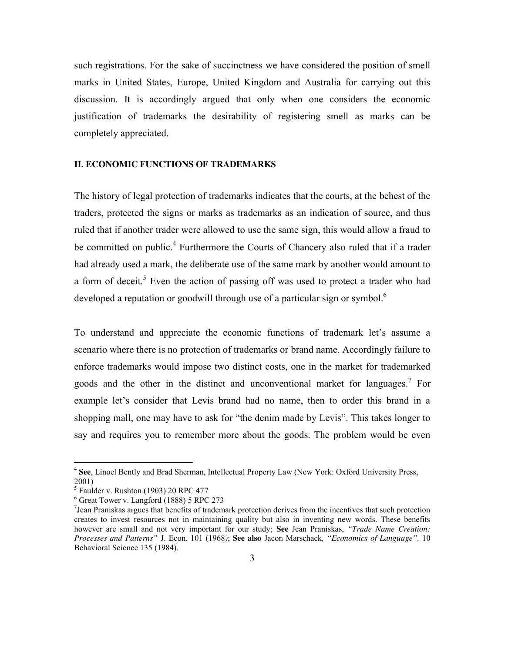such registrations. For the sake of succinctness we have considered the position of smell marks in United States, Europe, United Kingdom and Australia for carrying out this discussion. It is accordingly argued that only when one considers the economic justification of trademarks the desirability of registering smell as marks can be completely appreciated.

#### **II. ECONOMIC FUNCTIONS OF TRADEMARKS**

The history of legal protection of trademarks indicates that the courts, at the behest of the traders, protected the signs or marks as trademarks as an indication of source, and thus ruled that if another trader were allowed to use the same sign, this would allow a fraud to be committed on public.<sup>4</sup> Furthermore the Courts of Chancery also ruled that if a trader had already used a mark, the deliberate use of the same mark by another would amount to a form of deceit.<sup>5</sup> Even the action of passing off was used to protect a trader who had developed a reputation or goodwill through use of a particular sign or symbol.<sup>6</sup>

To understand and appreciate the economic functions of trademark let's assume a scenario where there is no protection of trademarks or brand name. Accordingly failure to enforce trademarks would impose two distinct costs, one in the market for trademarked goods and the other in the distinct and unconventional market for languages.<sup>7</sup> For example let's consider that Levis brand had no name, then to order this brand in a shopping mall, one may have to ask for "the denim made by Levis". This takes longer to say and requires you to remember more about the goods. The problem would be even

 4 **See**, Linoel Bently and Brad Sherman, Intellectual Property Law (New York: Oxford University Press, 2001)

<sup>5</sup> Faulder v. Rushton (1903) 20 RPC 477

<sup>6</sup> Great Tower v. Langford (1888) 5 RPC 273

<sup>7</sup> Jean Praniskas argues that benefits of trademark protection derives from the incentives that such protection creates to invest resources not in maintaining quality but also in inventing new words. These benefits however are small and not very important for our study; **See** Jean Praniskas, *"Trade Name Creation: Processes and Patterns"* J. Econ. 101 (1968*)*; **See also** Jacon Marschack*, "Economics of Language",* 10 Behavioral Science 135 (1984).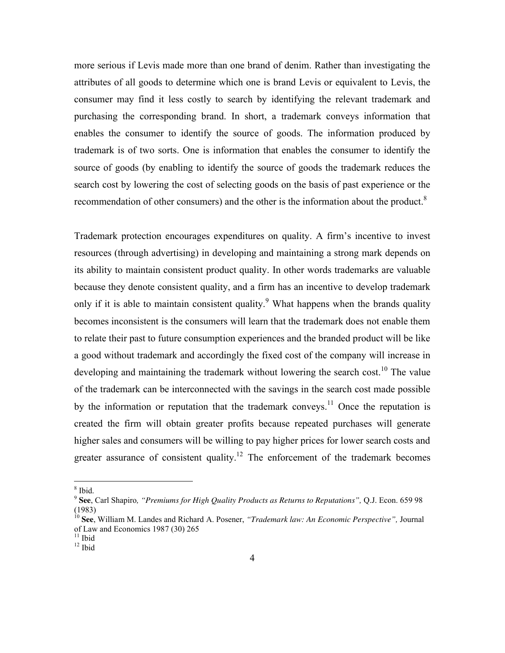more serious if Levis made more than one brand of denim. Rather than investigating the attributes of all goods to determine which one is brand Levis or equivalent to Levis, the consumer may find it less costly to search by identifying the relevant trademark and purchasing the corresponding brand. In short, a trademark conveys information that enables the consumer to identify the source of goods. The information produced by trademark is of two sorts. One is information that enables the consumer to identify the source of goods (by enabling to identify the source of goods the trademark reduces the search cost by lowering the cost of selecting goods on the basis of past experience or the recommendation of other consumers) and the other is the information about the product.<sup>8</sup>

Trademark protection encourages expenditures on quality. A firm's incentive to invest resources (through advertising) in developing and maintaining a strong mark depends on its ability to maintain consistent product quality. In other words trademarks are valuable because they denote consistent quality, and a firm has an incentive to develop trademark only if it is able to maintain consistent quality.<sup>9</sup> What happens when the brands quality becomes inconsistent is the consumers will learn that the trademark does not enable them to relate their past to future consumption experiences and the branded product will be like a good without trademark and accordingly the fixed cost of the company will increase in developing and maintaining the trademark without lowering the search cost.<sup>10</sup> The value of the trademark can be interconnected with the savings in the search cost made possible by the information or reputation that the trademark conveys.<sup>11</sup> Once the reputation is created the firm will obtain greater profits because repeated purchases will generate higher sales and consumers will be willing to pay higher prices for lower search costs and greater assurance of consistent quality.<sup>12</sup> The enforcement of the trademark becomes

 $8$  Ibid.

<sup>9</sup> **See**, Carl Shapiro*, "Premiums for High Quality Products as Returns to Reputations",* Q.J. Econ. 659 98 (1983)

<sup>10</sup> **See**, William M. Landes and Richard A. Posener, *"Trademark law: An Economic Perspective",* Journal of Law and Economics 1987 (30) 265

 $11$  Ibid

 $12$  Ibid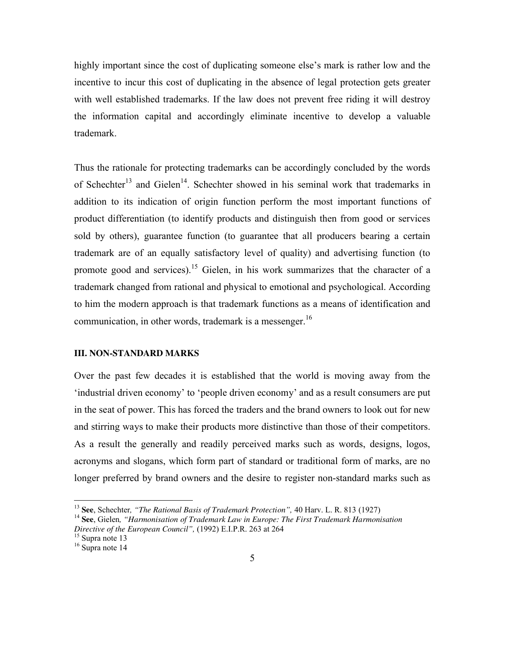highly important since the cost of duplicating someone else's mark is rather low and the incentive to incur this cost of duplicating in the absence of legal protection gets greater with well established trademarks. If the law does not prevent free riding it will destroy the information capital and accordingly eliminate incentive to develop a valuable trademark.

Thus the rationale for protecting trademarks can be accordingly concluded by the words of Schechter<sup>13</sup> and Gielen<sup>14</sup>. Schechter showed in his seminal work that trademarks in addition to its indication of origin function perform the most important functions of product differentiation (to identify products and distinguish then from good or services sold by others), guarantee function (to guarantee that all producers bearing a certain trademark are of an equally satisfactory level of quality) and advertising function (to promote good and services).<sup>15</sup> Gielen, in his work summarizes that the character of a trademark changed from rational and physical to emotional and psychological. According to him the modern approach is that trademark functions as a means of identification and communication, in other words, trademark is a messenger.<sup>16</sup>

# **III. NON-STANDARD MARKS**

Over the past few decades it is established that the world is moving away from the 'industrial driven economy' to 'people driven economy' and as a result consumers are put in the seat of power. This has forced the traders and the brand owners to look out for new and stirring ways to make their products more distinctive than those of their competitors. As a result the generally and readily perceived marks such as words, designs, logos, acronyms and slogans, which form part of standard or traditional form of marks, are no longer preferred by brand owners and the desire to register non-standard marks such as

-

<sup>13</sup> **See**, Schechter*, "The Rational Basis of Trademark Protection",* 40 Harv. L. R. 813 (1927)

<sup>14</sup> **See**, Gielen*, "Harmonisation of Trademark Law in Europe: The First Trademark Harmonisation Directive of the European Council",* (1992) E.I.P.R. 263 at 264

<sup>&</sup>lt;sup>15</sup> Supra note 13

 $16$  Supra note 14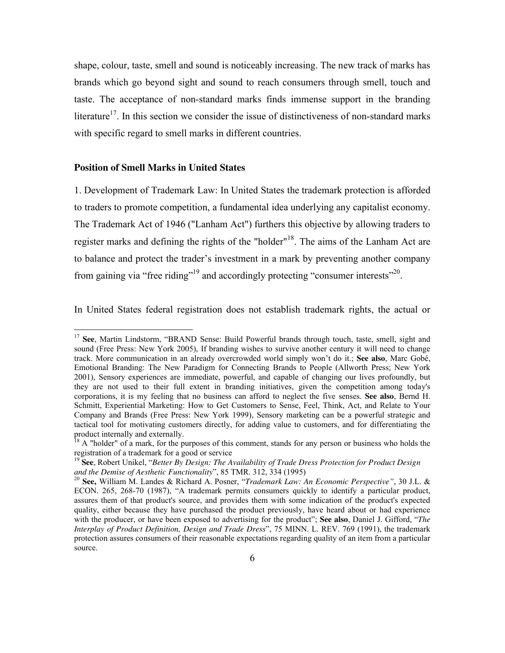shape, colour, taste, smell and sound is noticeably increasing. The new track of marks has brands which go beyond sight and sound to reach consumers through smell, touch and taste. The acceptance of non-standard marks finds immense support in the branding literature<sup>17</sup>. In this section we consider the issue of distinctiveness of non-standard marks with specific regard to smell marks in different countries.

#### **Position of Smell Marks in United States**

 $\overline{a}$ 

1. Development of Trademark Law: In United States the trademark protection is afforded to traders to promote competition, a fundamental idea underlying any capitalist economy. The Trademark Act of 1946 ("Lanham Act") furthers this objective by allowing traders to register marks and defining the rights of the "holder"<sup>18</sup>. The aims of the Lanham Act are to balance and protect the trader's investment in a mark by preventing another company from gaining via "free riding"<sup>19</sup> and accordingly protecting "consumer interests"<sup>20</sup>.

In United States federal registration does not establish trademark rights, the actual or

<sup>&</sup>lt;sup>17</sup> See, Martin Lindstorm, "BRAND Sense: Build Powerful brands through touch, taste, smell, sight and sound (Free Press: New York 2005), If branding wishes to survive another century it will need to change track. More communication in an already overcrowded world simply won't do it.; **See also**, Marc Gobé, Emotional Branding: The New Paradigm for Connecting Brands to People (Allworth Press; New York 2001), Sensory experiences are immediate, powerful, and capable of changing our lives profoundly, but they are not used to their full extent in branding initiatives, given the competition among today's corporations, it is my feeling that no business can afford to neglect the five senses. **See also**, Bernd H. Schmitt, Experiential Marketing: How to Get Customers to Sense, Feel, Think, Act, and Relate to Your Company and Brands (Free Press: New York 1999), Sensory marketing can be a powerful strategic and tactical tool for motivating customers directly, for adding value to customers, and for differentiating the product internally and externally.

 $18$  A "holder" of a mark, for the purposes of this comment, stands for any person or business who holds the registration of a trademark for a good or service

<sup>19</sup> **See**, Robert Unikel, "*Better By Design: The Availability of Trade Dress Protection for Product Design and the Demise of Aesthetic Functionality*", 85 TMR. 312, 334 (1995)

<sup>20</sup> **See,** William M. Landes & Richard A. Posner, "*Trademark Law: An Economic Perspective"*, 30 J.L. & ECON. 265, 268-70 (1987), "A trademark permits consumers quickly to identify a particular product, assures them of that product's source, and provides them with some indication of the product's expected quality, either because they have purchased the product previously, have heard about or had experience with the producer, or have been exposed to advertising for the product"; **See also**, Daniel J. Gifford, "*The Interplay of Product Definition, Design and Trade Dress*", 75 MINN. L. REV. 769 (1991), the trademark protection assures consumers of their reasonable expectations regarding quality of an item from a particular source.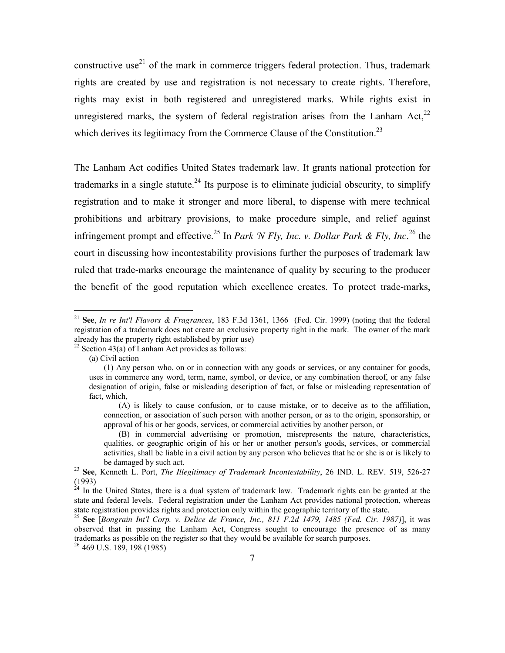constructive use<sup>21</sup> of the mark in commerce triggers federal protection. Thus, trademark rights are created by use and registration is not necessary to create rights. Therefore, rights may exist in both registered and unregistered marks. While rights exist in unregistered marks, the system of federal registration arises from the Lanham Act.<sup>22</sup> which derives its legitimacy from the Commerce Clause of the Constitution.<sup>23</sup>

The Lanham Act codifies United States trademark law. It grants national protection for trademarks in a single statute.<sup>24</sup> Its purpose is to eliminate judicial obscurity, to simplify registration and to make it stronger and more liberal, to dispense with mere technical prohibitions and arbitrary provisions, to make procedure simple, and relief against infringement prompt and effective.<sup>25</sup> In *Park 'N Fly, Inc. v. Dollar Park & Fly, Inc.*<sup>26</sup> the court in discussing how incontestability provisions further the purposes of trademark law ruled that trade-marks encourage the maintenance of quality by securing to the producer the benefit of the good reputation which excellence creates. To protect trade-marks,

<sup>22</sup> Section 43(a) of Lanham Act provides as follows:

-

<sup>21</sup> **See**, *In re Int'l Flavors & Fragrances*, 183 F.3d 1361, 1366 (Fed. Cir. 1999) (noting that the federal registration of a trademark does not create an exclusive property right in the mark. The owner of the mark already has the property right established by prior use)

<sup>(</sup>a) Civil action

<sup>(1)</sup> Any person who, on or in connection with any goods or services, or any container for goods, uses in commerce any word, term, name, symbol, or device, or any combination thereof, or any false designation of origin, false or misleading description of fact, or false or misleading representation of fact, which,

<sup>(</sup>A) is likely to cause confusion, or to cause mistake, or to deceive as to the affiliation, connection, or association of such person with another person, or as to the origin, sponsorship, or approval of his or her goods, services, or commercial activities by another person, or

<sup>(</sup>B) in commercial advertising or promotion, misrepresents the nature, characteristics, qualities, or geographic origin of his or her or another person's goods, services, or commercial activities, shall be liable in a civil action by any person who believes that he or she is or is likely to be damaged by such act.

<sup>23</sup> **See**, Kenneth L. Port, *The Illegitimacy of Trademark Incontestability*, 26 IND. L. REV. 519, 526-27 (1993)

 $24$  In the United States, there is a dual system of trademark law. Trademark rights can be granted at the state and federal levels. Federal registration under the Lanham Act provides national protection, whereas state registration provides rights and protection only within the geographic territory of the state.

<sup>25</sup> **See** [*Bongrain Int'l Corp. v. Delice de France, Inc., 811 F.2d 1479, 1485 (Fed. Cir. 1987)*], it was observed that in passing the Lanham Act, Congress sought to encourage the presence of as many trademarks as possible on the register so that they would be available for search purposes. <sup>26</sup> 469 U.S. 189, 198 (1985)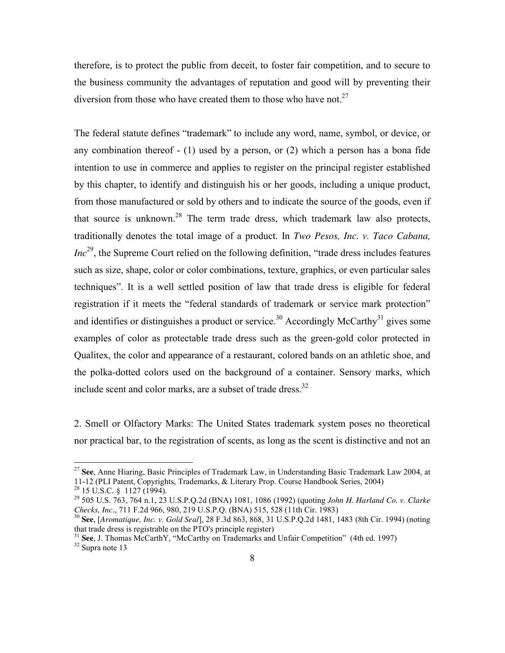therefore, is to protect the public from deceit, to foster fair competition, and to secure to the business community the advantages of reputation and good will by preventing their diversion from those who have created them to those who have not.<sup>27</sup>

The federal statute defines "trademark" to include any word, name, symbol, or device, or any combination thereof - (1) used by a person, or (2) which a person has a bona fide intention to use in commerce and applies to register on the principal register established by this chapter, to identify and distinguish his or her goods, including a unique product, from those manufactured or sold by others and to indicate the source of the goods, even if that source is unknown.<sup>28</sup> The term trade dress, which trademark law also protects, traditionally denotes the total image of a product. In *Two Pesos, Inc. v. Taco Cabana, Inc*<sup>29</sup>, the Supreme Court relied on the following definition, "trade dress includes features" such as size, shape, color or color combinations, texture, graphics, or even particular sales techniques". It is a well settled position of law that trade dress is eligible for federal registration if it meets the "federal standards of trademark or service mark protection" and identifies or distinguishes a product or service.<sup>30</sup> Accordingly McCarthy<sup>31</sup> gives some examples of color as protectable trade dress such as the green-gold color protected in Qualitex, the color and appearance of a restaurant, colored bands on an athletic shoe, and the polka-dotted colors used on the background of a container. Sensory marks, which include scent and color marks, are a subset of trade dress.<sup>32</sup>

2. Smell or Olfactory Marks: The United States trademark system poses no theoretical nor practical bar, to the registration of scents, as long as the scent is distinctive and not an

<u>.</u>

<sup>27</sup> **See**, Anne Hiaring, Basic Principles of Trademark Law, in Understanding Basic Trademark Law 2004, at 11-12 (PLI Patent, Copyrights, Trademarks, & Literary Prop. Course Handbook Series, 2004)

 $^{28}$  15 U.S.C. § 1127 (1994).

<sup>29</sup> 505 U.S. 763, 764 n.1, 23 U.S.P.Q.2d (BNA) 1081, 1086 (1992) (quoting *John H. Harland Co. v. Clarke Checks, Inc*., 711 F.2d 966, 980, 219 U.S.P.Q. (BNA) 515, 528 (11th Cir. 1983)

<sup>30</sup> **See**, [*Aromatique, Inc. v. Gold Seal*], 28 F.3d 863, 868, 31 U.S.P.Q.2d 1481, 1483 (8th Cir. 1994) (noting that trade dress is registrable on the PTO's principle register)

<sup>31</sup> **See**, J. Thomas McCarthY, "McCarthy on Trademarks and Unfair Competition" (4th ed. 1997) <sup>32</sup> Supra note 13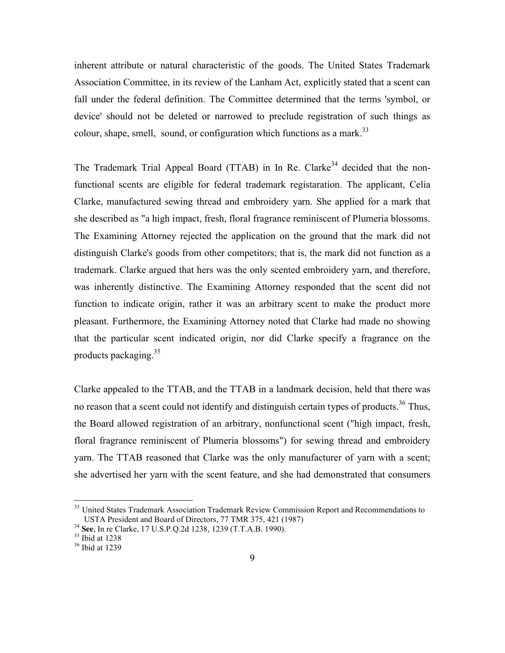inherent attribute or natural characteristic of the goods. The United States Trademark Association Committee, in its review of the Lanham Act, explicitly stated that a scent can fall under the federal definition. The Committee determined that the terms 'symbol, or device' should not be deleted or narrowed to preclude registration of such things as colour, shape, smell, sound, or configuration which functions as a mark.<sup>33</sup>

The Trademark Trial Appeal Board (TTAB) in In Re. Clarke<sup>34</sup> decided that the nonfunctional scents are eligible for federal trademark registaration. The applicant, Celia Clarke, manufactured sewing thread and embroidery yarn. She applied for a mark that she described as "a high impact, fresh, floral fragrance reminiscent of Plumeria blossoms. The Examining Attorney rejected the application on the ground that the mark did not distinguish Clarke's goods from other competitors; that is, the mark did not function as a trademark. Clarke argued that hers was the only scented embroidery yarn, and therefore, was inherently distinctive. The Examining Attorney responded that the scent did not function to indicate origin, rather it was an arbitrary scent to make the product more pleasant. Furthermore, the Examining Attorney noted that Clarke had made no showing that the particular scent indicated origin, nor did Clarke specify a fragrance on the products packaging. $35$ 

Clarke appealed to the TTAB, and the TTAB in a landmark decision, held that there was no reason that a scent could not identify and distinguish certain types of products.<sup>36</sup> Thus, the Board allowed registration of an arbitrary, nonfunctional scent ("high impact, fresh, floral fragrance reminiscent of Plumeria blossoms") for sewing thread and embroidery yarn. The TTAB reasoned that Clarke was the only manufacturer of yarn with a scent; she advertised her yarn with the scent feature, and she had demonstrated that consumers

<sup>&</sup>lt;sup>33</sup> United States Trademark Association Trademark Review Commission Report and Recommendations to USTA President and Board of Directors, 77 TMR 375, 421 (1987)

<sup>34</sup> **See**, In re Clarke, 17 U.S.P.Q.2d 1238, 1239 (T.T.A.B. 1990).

<sup>35</sup> Ibid at 1238

<sup>36</sup> Ibid at 1239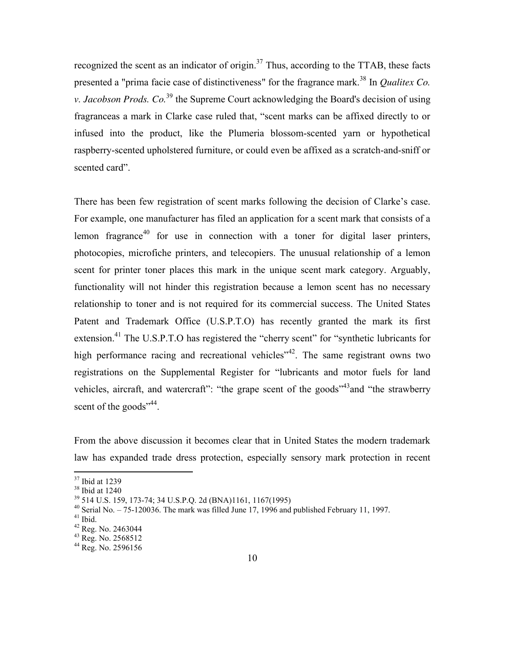recognized the scent as an indicator of origin. $37$  Thus, according to the TTAB, these facts presented a "prima facie case of distinctiveness" for the fragrance mark.<sup>38</sup> In *Qualitex Co. v. Jacobson Prods. Co.*<sup>39</sup> the Supreme Court acknowledging the Board's decision of using fragranceas a mark in Clarke case ruled that, "scent marks can be affixed directly to or infused into the product, like the Plumeria blossom-scented yarn or hypothetical raspberry-scented upholstered furniture, or could even be affixed as a scratch-and-sniff or scented card".

There has been few registration of scent marks following the decision of Clarke's case. For example, one manufacturer has filed an application for a scent mark that consists of a lemon fragrance<sup>40</sup> for use in connection with a toner for digital laser printers, photocopies, microfiche printers, and telecopiers. The unusual relationship of a lemon scent for printer toner places this mark in the unique scent mark category. Arguably, functionality will not hinder this registration because a lemon scent has no necessary relationship to toner and is not required for its commercial success. The United States Patent and Trademark Office (U.S.P.T.O) has recently granted the mark its first extension.<sup>41</sup> The U.S.P.T.O has registered the "cherry scent" for "synthetic lubricants for high performance racing and recreational vehicles<sup>"42</sup>. The same registrant owns two registrations on the Supplemental Register for "lubricants and motor fuels for land vehicles, aircraft, and watercraft": "the grape scent of the goods"<sup>43</sup>and "the strawberry" scent of the goods", 44.

From the above discussion it becomes clear that in United States the modern trademark law has expanded trade dress protection, especially sensory mark protection in recent

 $37$  Ibid at 1239

<sup>38</sup> Ibid at 1240

<sup>39</sup> 514 U.S. 159, 173-74; 34 U.S.P.Q. 2d (BNA)1161, 1167(1995)

 $40$  Serial No.  $-75$ -120036. The mark was filled June 17, 1996 and published February 11, 1997.

 $41$  Ibid.

<sup>42</sup> Reg. No. 2463044

<sup>43</sup> Reg. No. 2568512

<sup>44</sup> Reg. No. 2596156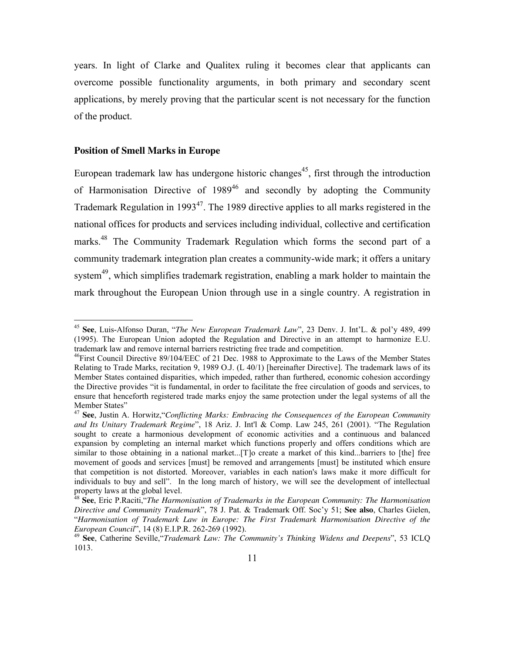years. In light of Clarke and Qualitex ruling it becomes clear that applicants can overcome possible functionality arguments, in both primary and secondary scent applications, by merely proving that the particular scent is not necessary for the function of the product.

#### **Position of Smell Marks in Europe**

<u>.</u>

European trademark law has undergone historic changes<sup>45</sup>, first through the introduction of Harmonisation Directive of  $1989^{46}$  and secondly by adopting the Community Trademark Regulation in 1993<sup>47</sup>. The 1989 directive applies to all marks registered in the national offices for products and services including individual, collective and certification marks.<sup>48</sup> The Community Trademark Regulation which forms the second part of a community trademark integration plan creates a community-wide mark; it offers a unitary system $49$ , which simplifies trademark registration, enabling a mark holder to maintain the mark throughout the European Union through use in a single country. A registration in

<sup>45</sup> **See**, Luis-Alfonso Duran, "*The New European Trademark Law*", 23 Denv. J. Int'L. & pol'y 489, 499 (1995). The European Union adopted the Regulation and Directive in an attempt to harmonize E.U. trademark law and remove internal barriers restricting free trade and competition.

<sup>&</sup>lt;sup>46</sup>First Council Directive 89/104/EEC of 21 Dec. 1988 to Approximate to the Laws of the Member States Relating to Trade Marks, recitation 9, 1989 O.J. (L 40/1) [hereinafter Directive]. The trademark laws of its Member States contained disparities, which impeded, rather than furthered, economic cohesion accordingy the Directive provides "it is fundamental, in order to facilitate the free circulation of goods and services, to ensure that henceforth registered trade marks enjoy the same protection under the legal systems of all the Member States"

<sup>47</sup> **See**, Justin A. Horwitz,"*Conflicting Marks: Embracing the Consequences of the European Community and Its Unitary Trademark Regime*", 18 Ariz. J. Int'l & Comp. Law 245, 261 (2001). "The Regulation sought to create a harmonious development of economic activities and a continuous and balanced expansion by completing an internal market which functions properly and offers conditions which are similar to those obtaining in a national market...[T]o create a market of this kind...barriers to [the] free movement of goods and services [must] be removed and arrangements [must] be instituted which ensure that competition is not distorted. Moreover, variables in each nation's laws make it more difficult for individuals to buy and sell". In the long march of history, we will see the development of intellectual property laws at the global level.

<sup>48</sup> **See**, Eric P.Raciti,"*The Harmonisation of Trademarks in the European Community: The Harmonisation Directive and Community Trademark*", 78 J. Pat. & Trademark Off. Soc'y 51; **See also**, Charles Gielen, "*Harmonisation of Trademark Law in Europe: The First Trademark Harmonisation Directive of the European Council*", 14 (8) E.I.P.R. 262-269 (1992).

<sup>49</sup> **See**, Catherine Seville,"*Trademark Law: The Community's Thinking Widens and Deepens*", 53 ICLQ 1013.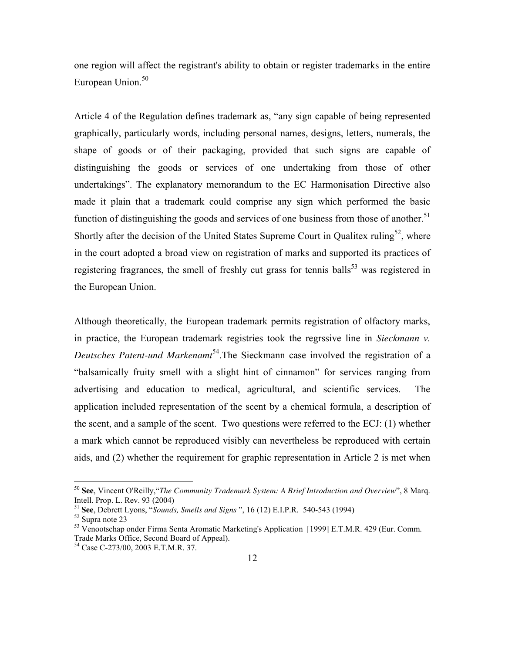one region will affect the registrant's ability to obtain or register trademarks in the entire European Union.<sup>50</sup>

Article 4 of the Regulation defines trademark as, "any sign capable of being represented graphically, particularly words, including personal names, designs, letters, numerals, the shape of goods or of their packaging, provided that such signs are capable of distinguishing the goods or services of one undertaking from those of other undertakings". The explanatory memorandum to the EC Harmonisation Directive also made it plain that a trademark could comprise any sign which performed the basic function of distinguishing the goods and services of one business from those of another.<sup>51</sup> Shortly after the decision of the United States Supreme Court in Qualitex ruling<sup>52</sup>, where in the court adopted a broad view on registration of marks and supported its practices of registering fragrances, the smell of freshly cut grass for tennis balls<sup>53</sup> was registered in the European Union.

Although theoretically, the European trademark permits registration of olfactory marks, in practice, the European trademark registries took the regrssive line in *Sieckmann v. Deutsches Patent-und Markenamt*<sup>54</sup>.The Sieckmann case involved the registration of a "balsamically fruity smell with a slight hint of cinnamon" for services ranging from advertising and education to medical, agricultural, and scientific services. The application included representation of the scent by a chemical formula, a description of the scent, and a sample of the scent. Two questions were referred to the ECJ: (1) whether a mark which cannot be reproduced visibly can nevertheless be reproduced with certain aids, and (2) whether the requirement for graphic representation in Article 2 is met when

-

<sup>50</sup> **See**, Vincent O'Reilly,"*The Community Trademark System: A Brief Introduction and Overview*", 8 Marq. Intell. Prop. L. Rev. 93 (2004)

<sup>51</sup> **See**, Debrett Lyons, "*Sounds, Smells and Signs* ", 16 (12) E.I.P.R. 540-543 (1994)

<sup>52</sup> Supra note 23

<sup>&</sup>lt;sup>53</sup> Venootschap onder Firma Senta Aromatic Marketing's Application [1999] E.T.M.R. 429 (Eur. Comm. Trade Marks Office, Second Board of Appeal).

<sup>54</sup> Case C-273/00, 2003 E.T.M.R. 37.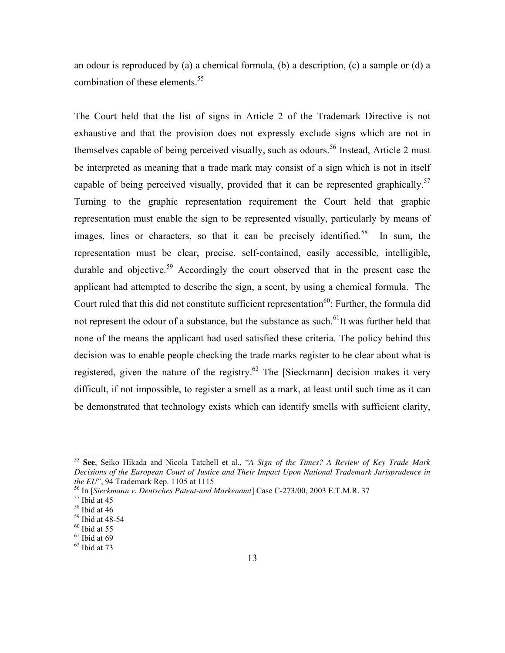an odour is reproduced by (a) a chemical formula, (b) a description, (c) a sample or (d) a combination of these elements.<sup>55</sup>

The Court held that the list of signs in Article 2 of the Trademark Directive is not exhaustive and that the provision does not expressly exclude signs which are not in themselves capable of being perceived visually, such as odours.<sup>56</sup> Instead, Article 2 must be interpreted as meaning that a trade mark may consist of a sign which is not in itself capable of being perceived visually, provided that it can be represented graphically.<sup>57</sup> Turning to the graphic representation requirement the Court held that graphic representation must enable the sign to be represented visually, particularly by means of images, lines or characters, so that it can be precisely identified.<sup>58</sup> In sum, the representation must be clear, precise, self-contained, easily accessible, intelligible, durable and objective.<sup>59</sup> Accordingly the court observed that in the present case the applicant had attempted to describe the sign, a scent, by using a chemical formula. The Court ruled that this did not constitute sufficient representation<sup>60</sup>; Further, the formula did not represent the odour of a substance, but the substance as such.<sup>61</sup>It was further held that none of the means the applicant had used satisfied these criteria. The policy behind this decision was to enable people checking the trade marks register to be clear about what is registered, given the nature of the registry.<sup>62</sup> The [Sieckmann] decision makes it very difficult, if not impossible, to register a smell as a mark, at least until such time as it can be demonstrated that technology exists which can identify smells with sufficient clarity,

<sup>55</sup> **See**, Seiko Hikada and Nicola Tatchell et al., "*A Sign of the Times? A Review of Key Trade Mark Decisions of the European Court of Justice and Their Impact Upon National Trademark Jurisprudence in the EU*", 94 Trademark Rep. 1105 at 1115

<sup>56</sup> In [*Sieckmann v. Deutsches Patent-und Markenamt*] Case C-273/00, 2003 E.T.M.R. 37

 $57$  Ibid at 45

 $58$  Ibid at 46

 $59$  Ibid at 48-54

 $60$  Ibid at 55

 $61$  Ibid at 69

 $62$  Ibid at 73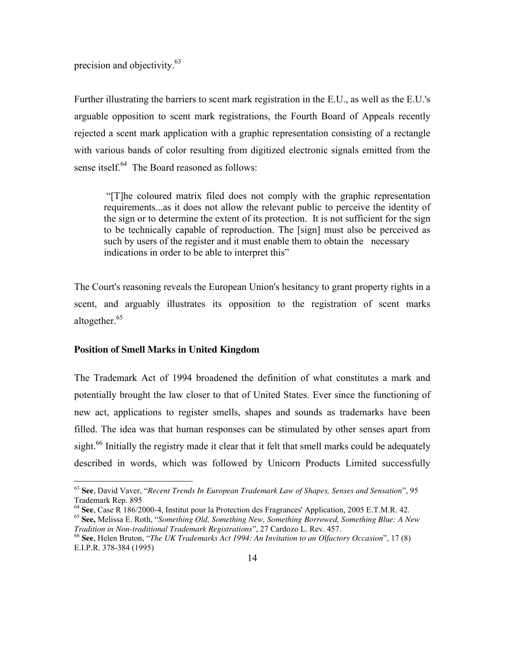precision and objectivity.<sup>63</sup>

Further illustrating the barriers to scent mark registration in the E.U., as well as the E.U.'s arguable opposition to scent mark registrations, the Fourth Board of Appeals recently rejected a scent mark application with a graphic representation consisting of a rectangle with various bands of color resulting from digitized electronic signals emitted from the sense itself.<sup>64</sup> The Board reasoned as follows:

"[T]he coloured matrix filed does not comply with the graphic representation requirements...as it does not allow the relevant public to perceive the identity of the sign or to determine the extent of its protection. It is not sufficient for the sign to be technically capable of reproduction. The [sign] must also be perceived as such by users of the register and it must enable them to obtain the necessary indications in order to be able to interpret this"

The Court's reasoning reveals the European Union's hesitancy to grant property rights in a scent, and arguably illustrates its opposition to the registration of scent marks altogether.<sup>65</sup>

# **Position of Smell Marks in United Kingdom**

 $\overline{a}$ 

The Trademark Act of 1994 broadened the definition of what constitutes a mark and potentially brought the law closer to that of United States. Ever since the functioning of new act, applications to register smells, shapes and sounds as trademarks have been filled. The idea was that human responses can be stimulated by other senses apart from sight.<sup>66</sup> Initially the registry made it clear that it felt that smell marks could be adequately described in words, which was followed by Unicorn Products Limited successfully

<sup>63</sup> **See**, David Vaver, "*Recent Trends In European Trademark Law of Shapes, Senses and Sensation*", 95 Trademark Rep. 895

<sup>64</sup> **See**, Case R 186/2000-4, Institut pour la Protection des Fragrances' Application, 2005 E.T.M.R. 42.

<sup>65</sup> **See,** Melissa E. Roth, "*Something Old, Something New, Something Borrowed, Something Blue: A New Tradition in Non-traditional Trademark Registrations*", 27 Cardozo L. Rev. 457.

<sup>66</sup> **See**, Helen Bruton, "*The UK Trademarks Act 1994: An Invitation to an Olfactory Occasion*", 17 (8) E.I.P.R. 378-384 (1995)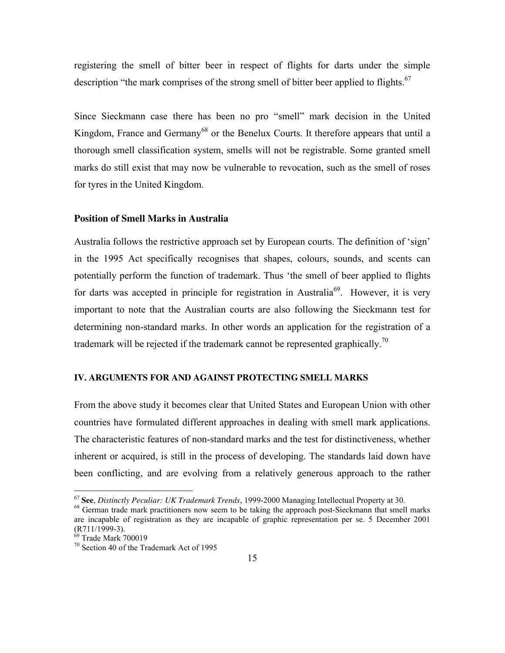registering the smell of bitter beer in respect of flights for darts under the simple description "the mark comprises of the strong smell of bitter beer applied to flights. $67$ 

Since Sieckmann case there has been no pro "smell" mark decision in the United Kingdom, France and Germany<sup>68</sup> or the Benelux Courts. It therefore appears that until a thorough smell classification system, smells will not be registrable. Some granted smell marks do still exist that may now be vulnerable to revocation, such as the smell of roses for tyres in the United Kingdom.

#### **Position of Smell Marks in Australia**

Australia follows the restrictive approach set by European courts. The definition of 'sign' in the 1995 Act specifically recognises that shapes, colours, sounds, and scents can potentially perform the function of trademark. Thus 'the smell of beer applied to flights for darts was accepted in principle for registration in Australia<sup>69</sup>. However, it is very important to note that the Australian courts are also following the Sieckmann test for determining non-standard marks. In other words an application for the registration of a trademark will be rejected if the trademark cannot be represented graphically.<sup>70</sup>

#### **IV. ARGUMENTS FOR AND AGAINST PROTECTING SMELL MARKS**

From the above study it becomes clear that United States and European Union with other countries have formulated different approaches in dealing with smell mark applications. The characteristic features of non-standard marks and the test for distinctiveness, whether inherent or acquired, is still in the process of developing. The standards laid down have been conflicting, and are evolving from a relatively generous approach to the rather

<sup>67</sup> **See**, *Distinctly Peculiar: UK Trademark Trends*, 1999-2000 Managing Intellectual Property at 30.

<sup>&</sup>lt;sup>68</sup> German trade mark practitioners now seem to be taking the approach post-Sieckmann that smell marks are incapable of registration as they are incapable of graphic representation per se. 5 December 2001 (R711/1999-3).

<sup>69</sup> Trade Mark 700019

<sup>70</sup> Section 40 of the Trademark Act of 1995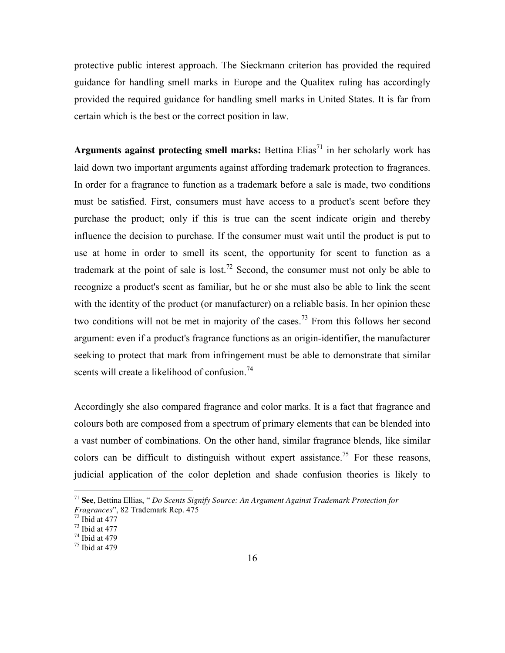protective public interest approach. The Sieckmann criterion has provided the required guidance for handling smell marks in Europe and the Qualitex ruling has accordingly provided the required guidance for handling smell marks in United States. It is far from certain which is the best or the correct position in law.

**Arguments against protecting smell marks:** Bettina  $Elias<sup>71</sup>$  in her scholarly work has laid down two important arguments against affording trademark protection to fragrances. In order for a fragrance to function as a trademark before a sale is made, two conditions must be satisfied. First, consumers must have access to a product's scent before they purchase the product; only if this is true can the scent indicate origin and thereby influence the decision to purchase. If the consumer must wait until the product is put to use at home in order to smell its scent, the opportunity for scent to function as a trademark at the point of sale is lost.<sup>72</sup> Second, the consumer must not only be able to recognize a product's scent as familiar, but he or she must also be able to link the scent with the identity of the product (or manufacturer) on a reliable basis. In her opinion these two conditions will not be met in majority of the cases.<sup>73</sup> From this follows her second argument: even if a product's fragrance functions as an origin-identifier, the manufacturer seeking to protect that mark from infringement must be able to demonstrate that similar scents will create a likelihood of confusion.<sup>74</sup>

Accordingly she also compared fragrance and color marks. It is a fact that fragrance and colours both are composed from a spectrum of primary elements that can be blended into a vast number of combinations. On the other hand, similar fragrance blends, like similar colors can be difficult to distinguish without expert assistance.<sup>75</sup> For these reasons, judicial application of the color depletion and shade confusion theories is likely to

<sup>71</sup> **See**, Bettina Ellias, " *Do Scents Signify Source: An Argument Against Trademark Protection for Fragrances*", 82 Trademark Rep. 475

 $72$  Ibid at 477

 $73$  Ibid at 477

<sup>74</sup> Ibid at 479

<sup>75</sup> Ibid at 479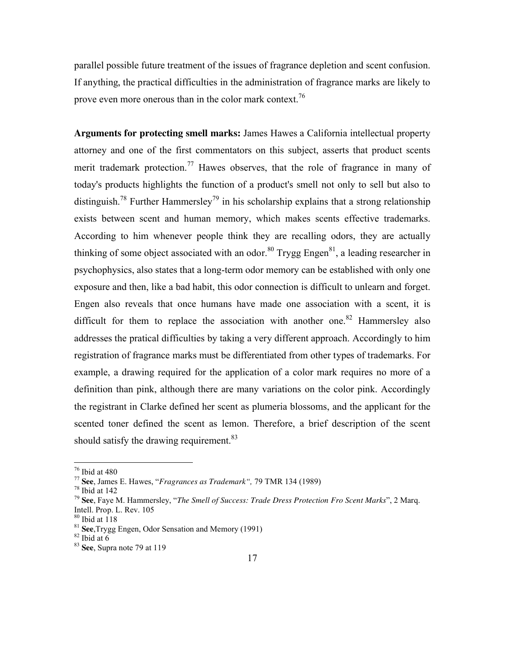parallel possible future treatment of the issues of fragrance depletion and scent confusion. If anything, the practical difficulties in the administration of fragrance marks are likely to prove even more onerous than in the color mark context.<sup>76</sup>

**Arguments for protecting smell marks:** James Hawes a California intellectual property attorney and one of the first commentators on this subject, asserts that product scents merit trademark protection.<sup>77</sup> Hawes observes, that the role of fragrance in many of today's products highlights the function of a product's smell not only to sell but also to distinguish.<sup>78</sup> Further Hammersley<sup>79</sup> in his scholarship explains that a strong relationship exists between scent and human memory, which makes scents effective trademarks. According to him whenever people think they are recalling odors, they are actually thinking of some object associated with an odor.<sup>80</sup> Trygg Engen<sup>81</sup>, a leading researcher in psychophysics, also states that a long-term odor memory can be established with only one exposure and then, like a bad habit, this odor connection is difficult to unlearn and forget. Engen also reveals that once humans have made one association with a scent, it is difficult for them to replace the association with another one.<sup>82</sup> Hammersley also addresses the pratical difficulties by taking a very different approach. Accordingly to him registration of fragrance marks must be differentiated from other types of trademarks. For example, a drawing required for the application of a color mark requires no more of a definition than pink, although there are many variations on the color pink. Accordingly the registrant in Clarke defined her scent as plumeria blossoms, and the applicant for the scented toner defined the scent as lemon. Therefore, a brief description of the scent should satisfy the drawing requirement.<sup>83</sup>

<sup>76</sup> Ibid at 480

<sup>77</sup> **See**, James E. Hawes, "*Fragrances as Trademark",* 79 TMR 134 (1989)

 $78$  Ibid at 142

<sup>79</sup> **See**, Faye M. Hammersley, "*The Smell of Success: Trade Dress Protection Fro Scent Marks*", 2 Marq. Intell. Prop. L. Rev. 105

 $80$  Ibid at  $118$ 

<sup>81</sup> **See**,Trygg Engen, Odor Sensation and Memory (1991)

 $82$  Ibid at 6

<sup>83</sup> **See**, Supra note 79 at 119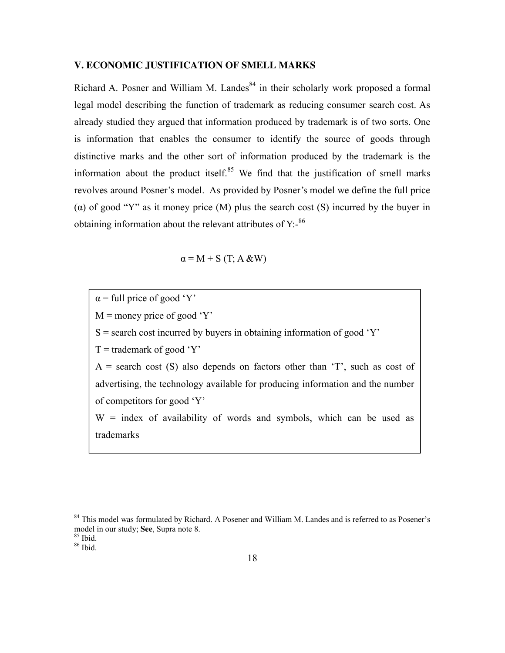#### **V. ECONOMIC JUSTIFICATION OF SMELL MARKS**

Richard A. Posner and William M. Landes<sup>84</sup> in their scholarly work proposed a formal legal model describing the function of trademark as reducing consumer search cost. As already studied they argued that information produced by trademark is of two sorts. One is information that enables the consumer to identify the source of goods through distinctive marks and the other sort of information produced by the trademark is the information about the product itself. $85$  We find that the justification of smell marks revolves around Posner's model. As provided by Posner's model we define the full price (α) of good "Y" as it money price (M) plus the search cost (S) incurred by the buyer in obtaining information about the relevant attributes of  $Y$ :- $86$ 

$$
\alpha = M + S(T; A \& W)
$$

 $\alpha$  = full price of good 'Y'

 $M$  = money price of good 'Y'

 $S$  = search cost incurred by buyers in obtaining information of good 'Y'

 $T =$  trademark of good 'Y'

 $A =$  search cost (S) also depends on factors other than 'T', such as cost of advertising, the technology available for producing information and the number of competitors for good 'Y'

 $W =$  index of availability of words and symbols, which can be used as trademarks

-

<sup>&</sup>lt;sup>84</sup> This model was formulated by Richard. A Posener and William M. Landes and is referred to as Posener's model in our study; **See**, Supra note 8.

<sup>85</sup> Ibid.

<sup>86</sup> Ibid.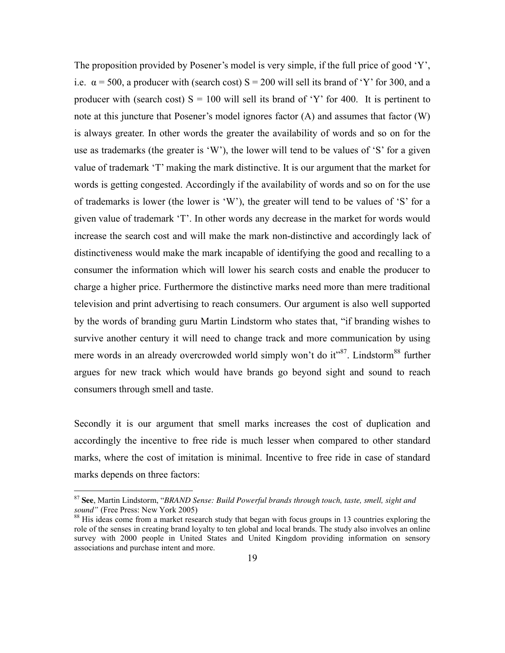The proposition provided by Posener's model is very simple, if the full price of good 'Y', i.e.  $\alpha$  = 500, a producer with (search cost) S = 200 will sell its brand of 'Y' for 300, and a producer with (search cost)  $S = 100$  will sell its brand of 'Y' for 400. It is pertinent to note at this juncture that Posener's model ignores factor (A) and assumes that factor (W) is always greater. In other words the greater the availability of words and so on for the use as trademarks (the greater is 'W'), the lower will tend to be values of 'S' for a given value of trademark 'T' making the mark distinctive. It is our argument that the market for words is getting congested. Accordingly if the availability of words and so on for the use of trademarks is lower (the lower is 'W'), the greater will tend to be values of 'S' for a given value of trademark 'T'. In other words any decrease in the market for words would increase the search cost and will make the mark non-distinctive and accordingly lack of distinctiveness would make the mark incapable of identifying the good and recalling to a consumer the information which will lower his search costs and enable the producer to charge a higher price. Furthermore the distinctive marks need more than mere traditional television and print advertising to reach consumers. Our argument is also well supported by the words of branding guru Martin Lindstorm who states that, "if branding wishes to survive another century it will need to change track and more communication by using mere words in an already overcrowded world simply won't do it"<sup>87</sup>. Lindstorm<sup>88</sup> further argues for new track which would have brands go beyond sight and sound to reach consumers through smell and taste.

Secondly it is our argument that smell marks increases the cost of duplication and accordingly the incentive to free ride is much lesser when compared to other standard marks, where the cost of imitation is minimal. Incentive to free ride in case of standard marks depends on three factors:

<sup>87</sup> **See**, Martin Lindstorm, "*BRAND Sense: Build Powerful brands through touch, taste, smell, sight and sound"* (Free Press: New York 2005)

<sup>&</sup>lt;sup>88</sup> His ideas come from a market research study that began with focus groups in 13 countries exploring the role of the senses in creating brand loyalty to ten global and local brands. The study also involves an online survey with 2000 people in United States and United Kingdom providing information on sensory associations and purchase intent and more.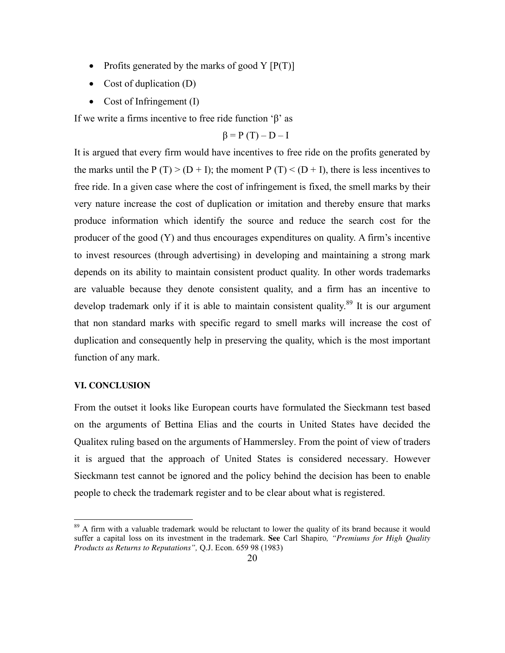- Profits generated by the marks of good Y  $[P(T)]$
- Cost of duplication  $(D)$
- Cost of Infringement  $(I)$

If we write a firms incentive to free ride function 'β' as

$$
\beta = P(T) - D - I
$$

It is argued that every firm would have incentives to free ride on the profits generated by the marks until the P  $(T)$  >  $(D + I)$ ; the moment P  $(T)$  <  $(D + I)$ , there is less incentives to free ride. In a given case where the cost of infringement is fixed, the smell marks by their very nature increase the cost of duplication or imitation and thereby ensure that marks produce information which identify the source and reduce the search cost for the producer of the good (Y) and thus encourages expenditures on quality. A firm's incentive to invest resources (through advertising) in developing and maintaining a strong mark depends on its ability to maintain consistent product quality. In other words trademarks are valuable because they denote consistent quality, and a firm has an incentive to develop trademark only if it is able to maintain consistent quality.<sup>89</sup> It is our argument that non standard marks with specific regard to smell marks will increase the cost of duplication and consequently help in preserving the quality, which is the most important function of any mark.

## **VI. CONCLUSION**

 $\overline{a}$ 

From the outset it looks like European courts have formulated the Sieckmann test based on the arguments of Bettina Elias and the courts in United States have decided the Qualitex ruling based on the arguments of Hammersley. From the point of view of traders it is argued that the approach of United States is considered necessary. However Sieckmann test cannot be ignored and the policy behind the decision has been to enable people to check the trademark register and to be clear about what is registered.

<sup>&</sup>lt;sup>89</sup> A firm with a valuable trademark would be reluctant to lower the quality of its brand because it would suffer a capital loss on its investment in the trademark. **See** Carl Shapiro*, "Premiums for High Quality Products as Returns to Reputations",* Q.J. Econ. 659 98 (1983)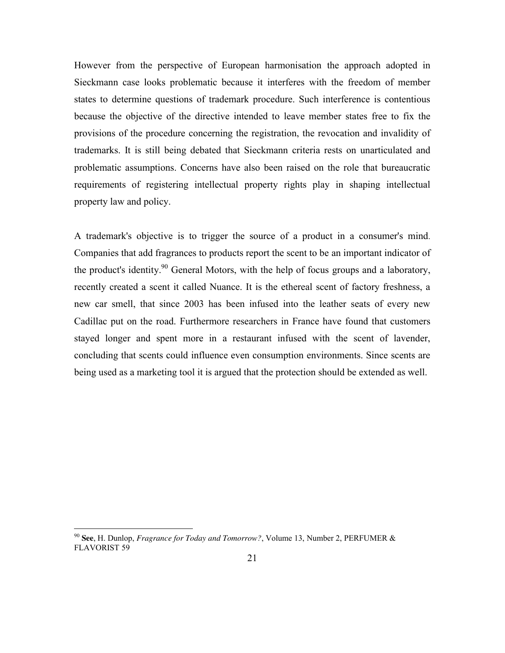However from the perspective of European harmonisation the approach adopted in Sieckmann case looks problematic because it interferes with the freedom of member states to determine questions of trademark procedure. Such interference is contentious because the objective of the directive intended to leave member states free to fix the provisions of the procedure concerning the registration, the revocation and invalidity of trademarks. It is still being debated that Sieckmann criteria rests on unarticulated and problematic assumptions. Concerns have also been raised on the role that bureaucratic requirements of registering intellectual property rights play in shaping intellectual property law and policy.

A trademark's objective is to trigger the source of a product in a consumer's mind. Companies that add fragrances to products report the scent to be an important indicator of the product's identity.<sup>90</sup> General Motors, with the help of focus groups and a laboratory, recently created a scent it called Nuance. It is the ethereal scent of factory freshness, a new car smell, that since 2003 has been infused into the leather seats of every new Cadillac put on the road. Furthermore researchers in France have found that customers stayed longer and spent more in a restaurant infused with the scent of lavender, concluding that scents could influence even consumption environments. Since scents are being used as a marketing tool it is argued that the protection should be extended as well.

<sup>90</sup> **See**, H. Dunlop, *Fragrance for Today and Tomorrow?*, Volume 13, Number 2, PERFUMER & FLAVORIST 59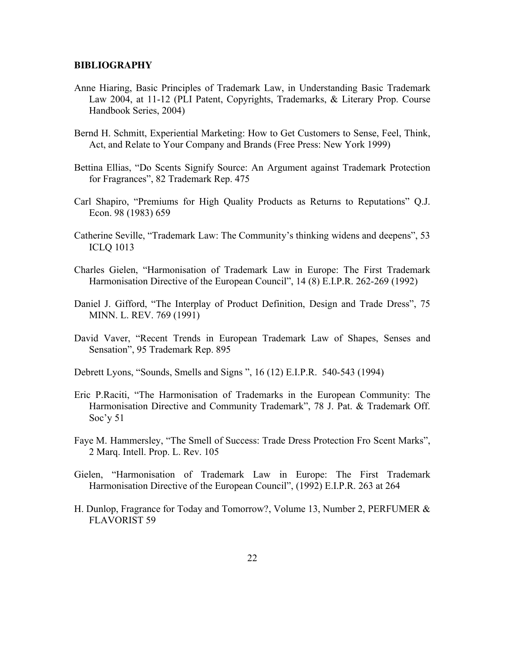#### **BIBLIOGRAPHY**

- Anne Hiaring, Basic Principles of Trademark Law, in Understanding Basic Trademark Law 2004, at 11-12 (PLI Patent, Copyrights, Trademarks, & Literary Prop. Course Handbook Series, 2004)
- Bernd H. Schmitt, Experiential Marketing: How to Get Customers to Sense, Feel, Think, Act, and Relate to Your Company and Brands (Free Press: New York 1999)
- Bettina Ellias, "Do Scents Signify Source: An Argument against Trademark Protection for Fragrances", 82 Trademark Rep. 475
- Carl Shapiro, "Premiums for High Quality Products as Returns to Reputations" Q.J. Econ. 98 (1983) 659
- Catherine Seville, "Trademark Law: The Community's thinking widens and deepens", 53 ICLQ 1013
- Charles Gielen, "Harmonisation of Trademark Law in Europe: The First Trademark Harmonisation Directive of the European Council", 14 (8) E.I.P.R. 262-269 (1992)
- Daniel J. Gifford, "The Interplay of Product Definition, Design and Trade Dress", 75 MINN. L. REV. 769 (1991)
- David Vaver, "Recent Trends in European Trademark Law of Shapes, Senses and Sensation", 95 Trademark Rep. 895
- Debrett Lyons, "Sounds, Smells and Signs ", 16 (12) E.I.P.R. 540-543 (1994)
- Eric P.Raciti, "The Harmonisation of Trademarks in the European Community: The Harmonisation Directive and Community Trademark", 78 J. Pat. & Trademark Off. Soc'y 51
- Faye M. Hammersley, "The Smell of Success: Trade Dress Protection Fro Scent Marks", 2 Marq. Intell. Prop. L. Rev. 105
- Gielen, "Harmonisation of Trademark Law in Europe: The First Trademark Harmonisation Directive of the European Council", (1992) E.I.P.R. 263 at 264
- H. Dunlop, Fragrance for Today and Tomorrow?, Volume 13, Number 2, PERFUMER & FLAVORIST 59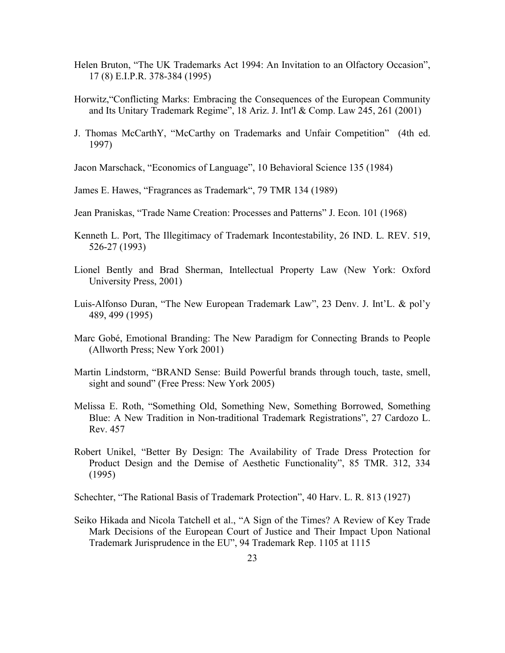- Helen Bruton, "The UK Trademarks Act 1994: An Invitation to an Olfactory Occasion", 17 (8) E.I.P.R. 378-384 (1995)
- Horwitz,"Conflicting Marks: Embracing the Consequences of the European Community and Its Unitary Trademark Regime", 18 Ariz. J. Int'l & Comp. Law 245, 261 (2001)
- J. Thomas McCarthY, "McCarthy on Trademarks and Unfair Competition" (4th ed. 1997)
- Jacon Marschack, "Economics of Language", 10 Behavioral Science 135 (1984)
- James E. Hawes, "Fragrances as Trademark", 79 TMR 134 (1989)
- Jean Praniskas, "Trade Name Creation: Processes and Patterns" J. Econ. 101 (1968)
- Kenneth L. Port, The Illegitimacy of Trademark Incontestability, 26 IND. L. REV. 519, 526-27 (1993)
- Lionel Bently and Brad Sherman, Intellectual Property Law (New York: Oxford University Press, 2001)
- Luis-Alfonso Duran, "The New European Trademark Law", 23 Denv. J. Int'L. & pol'y 489, 499 (1995)
- Marc Gobé, Emotional Branding: The New Paradigm for Connecting Brands to People (Allworth Press; New York 2001)
- Martin Lindstorm, "BRAND Sense: Build Powerful brands through touch, taste, smell, sight and sound" (Free Press: New York 2005)
- Melissa E. Roth, "Something Old, Something New, Something Borrowed, Something Blue: A New Tradition in Non-traditional Trademark Registrations", 27 Cardozo L. Rev. 457
- Robert Unikel, "Better By Design: The Availability of Trade Dress Protection for Product Design and the Demise of Aesthetic Functionality", 85 TMR. 312, 334 (1995)
- Schechter, "The Rational Basis of Trademark Protection", 40 Harv. L. R. 813 (1927)
- Seiko Hikada and Nicola Tatchell et al., "A Sign of the Times? A Review of Key Trade Mark Decisions of the European Court of Justice and Their Impact Upon National Trademark Jurisprudence in the EU", 94 Trademark Rep. 1105 at 1115